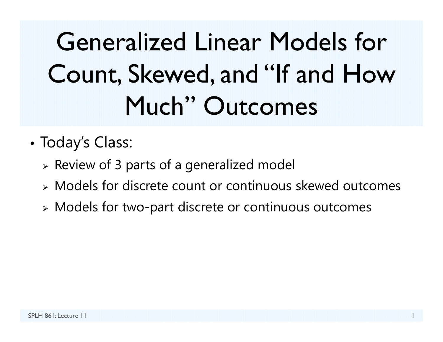Generalized Linear Models for Count, Skewed, and "If and How Much" Outcomes

- • Today's Class:
	- $\triangleright$  Review of 3 parts of a generalized model
	- Models for discrete count or continuous skewed outcomes
	- Models for two-part discrete or continuous outcomes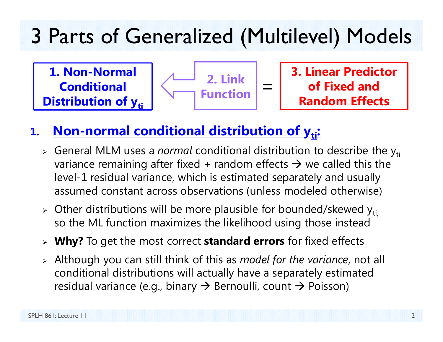## 3 Parts of Generalized (Multilevel) Models

**1. Non-Normal Conditional Distribution of yti** 



**3. Linear Predictor of Fixed and Random Effects**

#### **1.Non-normal conditional distribution of y<sub>ti</sub>:**

- **>** General MLM uses a *normal* conditional distribution to describe the y<sub>ti</sub> variance remaining after fixed + random effects  $\bm{\rightarrow}$  we called this the level-1 residual variance, which is estimated separately and usually assumed constant across observations (unless modeled otherwise)
- $\triangleright$  Other distributions will be more plausible for bounded/skewed y<sub>ti,</sub> so the ML function maximizes the likelihood using those instead
- **Why?** To get the most correct **standard errors** for fixed effects
- Although you can still think of this as *model for the variance*, not all conditional distributions will actually have a separately estimated residual variance (e.g., binary  $\boldsymbol{\rightarrow}$  Bernoulli, count  $\boldsymbol{\rightarrow}$  Poisson)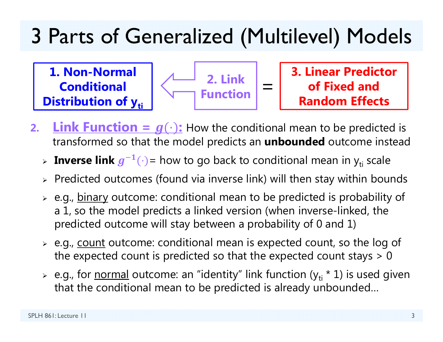## 3 Parts of Generalized (Multilevel) Models

**1. Non-Normal Conditional Distribution of y<sub>ti</sub>** 



**3. Linear Predictor of Fixed and Random Effects**

- **2.Link Function =**  $g(\cdot)$ **:** How the conditional mean to be predicted is transformed so that the model predicts an **unbounded** outcome instead
	- > Inverse link  $g^{-1}(\cdot)$  = how to go back to conditional mean in y<sub>ti</sub> scale
	- $\triangleright$  Predicted outcomes (found via inverse link) will then stay within bounds
	- > e.g., <u>binary</u> outcome: conditional mean to be predicted is probability of a 1, so the model predicts a linked version (when inverse-linked, the predicted outcome will stay between a probability of 0 and 1)
	- > e.g., <u>count</u> outcome: conditional mean is expected count, so the log of the expected count is predicted so that the expected count stays  $> 0$
	- > e.g., for <u>normal</u> outcome: an "identity" link function (y<sub>ti</sub> \* 1) is used given that the conditional mean to be predicted is already unbounded…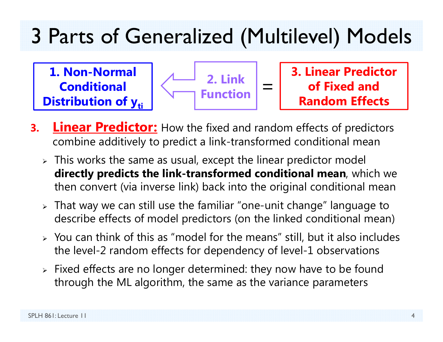## 3 Parts of Generalized (Multilevel) Models

**1. Non-Normal Conditional Distribution of yti** 



**3. Linear Predictor of Fixed and Random Effects**

- **3.Linear Predictor:** How the fixed and random effects of predictors combine additively to predict a link-transformed conditional mean
	- $\triangleright$  This works the same as usual, except the linear predictor model **directly predicts the link-transformed conditional mean**, which we then convert (via inverse link) back into the original conditional mean
	- $\triangleright$  That way we can still use the familiar "one-unit change" language to describe effects of model predictors (on the linked conditional mean)
	- $\triangleright$  You can think of this as "model for the means" still, but it also includes the level-2 random effects for dependency of level-1 observations
	- $\triangleright$  Fixed effects are no longer determined: they now have to be found through the ML algorithm, the same as the variance parameters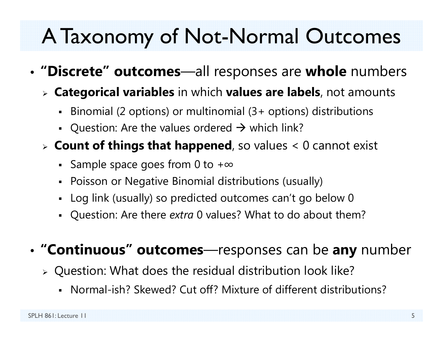## A Taxonomy of Not-Normal Outcomes

- • **"Discrete" outcomes**—all responses are **whole** numbers
	- **Categorical variables** in which **values are labels**, not amounts
		- Binomial (2 options) or multinomial (3+ options) distributions
		- Question: Are the values ordered  $\rightarrow$  which link?
	- **Count of things that happened**, so values < 0 cannot exist
		- Sample space goes from 0 to + $\infty$
		- Poisson or Negative Binomial distributions (usually)
		- Log link (usually) so predicted outcomes can't go below 0
		- Question: Are there *extra* 0 values? What to do about them?

#### •**"Continuous" outcomes**—responses can be **any** number

- Question: What does the residual distribution look like?
	- Normal-ish? Skewed? Cut off? Mixture of different distributions?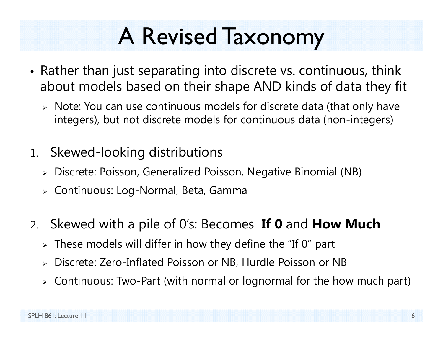## A Revised Taxonomy

- Rather than just separating into discrete vs. continuous, think about models based on their shape AND kinds of data they fit
	- Note: You can use continuous models for discrete data (that only have integers), but not discrete models for continuous data (non-integers)
- 1. Skewed-looking distributions
	- Discrete: Poisson, Generalized Poisson, Negative Binomial (NB)
	- Continuous: Log-Normal, Beta, Gamma
- 2. Skewed with a pile of 0's: Becomes **If 0** and **How Much**
	- $\triangleright$  These models will differ in how they define the "If 0" part
	- $\blacktriangleright$ Discrete: Zero-Inflated Poisson or NB, Hurdle Poisson or NB
	- Continuous: Two-Part (with normal or lognormal for the how much part)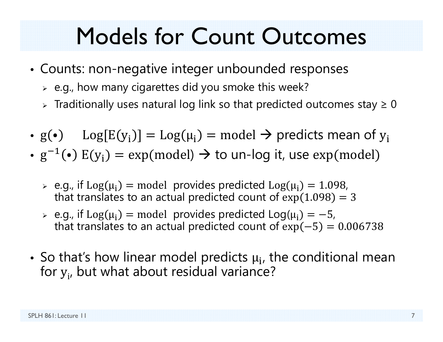## Models for Count Outcomes

- Counts: non-negative integer unbounded responses
	- $\triangleright$  e.g., how many cigarettes did you smoke this week?
	- $\triangleright$  Traditionally uses natural log link so that predicted outcomes stay  $\geq 0$
- $g(\bullet)$   $Log[E(y_i)] = Log(\mu_i) = model \rightarrow$  predicts mean of  $y_i$
- $\bullet \,{\rm g}^{-1}(\bullet) \;{\rm E}({\rm y}_{\rm i}) = {\rm exp}({\rm model}) \to {\rm to}$  un-log it, use  ${\rm exp}({\rm model})$ 
	- $\geq$  e.g., if Log( $\mu_i$ ) = model provides predicted Log( $\mu_i$ ) = 1.098, that translates to an actual predicted count of  $exp(1.098) = 3$
	- $\ge$  e.g., if  $Log(\mu_i) = model$  provides predicted  $Log(\mu_i) = -5$ , that translates to an actual predicted count of  $exp(-5) = 0.006738$
- So that's how linear model predicts  $\mu_{\bf i}$ , the conditional mean for  $y_{\sf i \prime}$  but what about residual variance?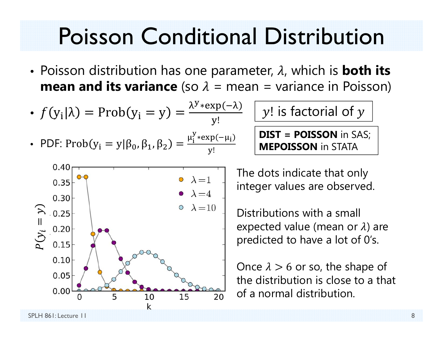## Poisson Conditional Distribution

• Poisson distribution has one parameter,  $\lambda$ , which is **both its mean and its variance** (so  $\lambda$  = mean = variance in Poisson)

\n- \n
$$
f(y_i|\lambda) = \text{Prob}(y_i = y) = \frac{\lambda^{y} \cdot \exp(-\lambda)}{y!} \quad \boxed{y! \text{ is factorial of } y}
$$
\n
\n- \n
$$
\text{PDF: } \text{Prob}(y_i = y | \beta_0, \beta_1, \beta_2) = \frac{\mu_i^{y} \cdot \exp(-\mu_i)}{y!} \quad \boxed{\text{DIST = POISSON in SAS;}
$$
\n
\n



The dots indicate that only integer values are observed.

Distributions with a small expected value (mean or  $\lambda$ ) are predicted to have a lot of 0's.

Once  $\lambda > 6$  or so, the shape of the distribution is close to a that  $\frac{10}{10}$   $\frac{15}{20}$  of a normal distribution.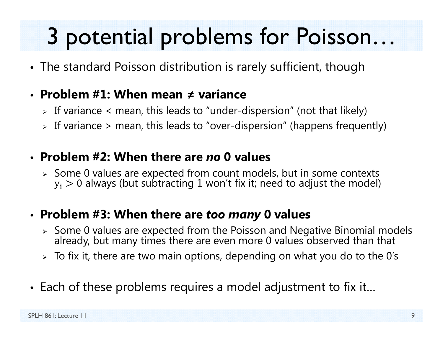## 3 potential problems for Poisson…

• The standard Poisson distribution is rarely sufficient, though

#### • **Problem #1: When mean ≠ variance**

- $\triangleright$  If variance  $<$  mean, this leads to "under-dispersion" (not that likely)
- $\triangleright$  If variance  $\triangleright$  mean, this leads to "over-dispersion" (happens frequently)

#### • **Problem #2: When there are** *no* **0 values**

 $\triangleright$  Some 0 values are expected from count models, but in some contexts  $\rm y_i>0$  always (but subtracting  $1$  won't fix it; need to adjust the model)

#### • **Problem #3: When there are** *too many* **0 values**

- $\triangleright$  Some 0 values are expected from the Poisson and Negative Binomial models already, but many times there are even more 0 values observed than that
- $\triangleright\;$  To fix it, there are two main options, depending on what you do to the 0's
- Each of these problems requires a model adjustment to fix it…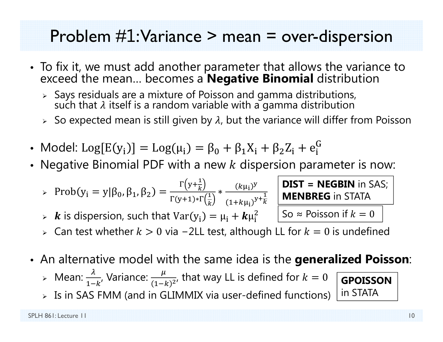#### Problem  $\#1$ : Variance  $>$  mean  $=$  over-dispersion

- To fix it, we must add another parameter that allows the variance to exceed the mean… becomes a **Negative Binomial** distribution
	- $\triangleright$  Says residuals are a mixture of Poisson and gamma distributions,<br>such that  $\lambda$  itself is a random variable with a gamma distribution
	- $\triangleright$   $\,$  So expected mean is still given by  $\lambda$ , but the variance will differ from Poisson
- Model: Log $[E(y_i)] = Log(\mu_i) = \beta_0 + \beta_1 X_i + \beta_2 Z_i + e_i^G$
- Negative Binomial PDF with a new  $k$  dispersion parameter is now:

$$
\text{Prob}(y_i = y | \beta_0, \beta_1, \beta_2) = \frac{\Gamma(y + \frac{1}{k})}{\Gamma(y + 1) \cdot \Gamma(\frac{1}{k})} \cdot \frac{(k\mu_i)^y}{(1 + k\mu_i)^{y + \frac{1}{k}}}
$$

 $\triangleright$   $\cdot$   $\cdot$   $\cdot$  is dispersion, such that  $\text{Var}(y_i) = \mu_i + k \mu_i^2$ 

**DIST = NEGBIN** in SAS; **MENBREG**in STATA

**GPOISSON**

So  $\approx$  Poisson if  $k=0$ 

- ≻ Can test whether  $k>0$  via −2LL test, although LL for  $k=0$  is undefined
- An alternative model with the same idea is the **generalized Poisson**:
	- ➤  $\triangleright$  Mean:  $\frac{\lambda}{1-k'}$  Variance:  $\frac{\mu}{(1-k)^2}$ , that way LL is defined for  $k=0$
	- $\triangleright$  Is in SAS FMM (and in GLIMMIX via user-defined functions) in STATA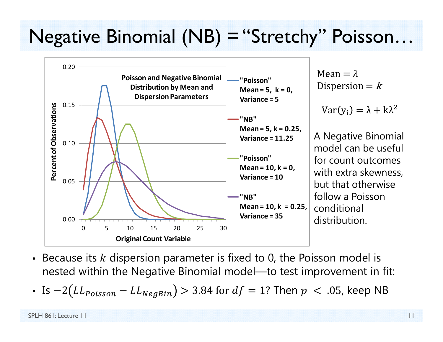### Negative Binomial (NB) = "Stretchy" Poisson…



- $\bullet$ • Because its  $k$  dispersion parameter is fixed to 0, the Poisson model is nested within the Negative Binomial model—to test improvement in fit:
- Is  $-2 (LL_{Poisson} LL_{NegBin}) > 3.84$  for  $df = 1?$  Then  $p~<~.05$ , keep NB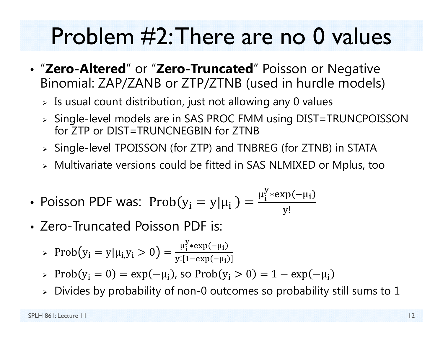## Problem #2: There are no 0 values

- "**Zero-Altered**" or "**Zero-Truncated**" Poisson or Negative Binomial: ZAP/ZANB or ZTP/ZTNB (used in hurdle models)
	- $\triangleright$  Is usual count distribution, just not allowing any 0 values
	- Single-level models are in SAS PROC FMM using DIST=TRUNCPOISSON for ZTP or DIST=TRUNCNEGBIN for ZTNB
	- Single-level TPOISSON (for ZTP) and TNBREG (for ZTNB) in STATA
	- Multivariate versions could be fitted in SAS NLMIXED or Mplus, too
- Poisson PDF was:  $\mathrm{Prob}(y_i = y | \mu_i) = \frac{\mu_i^y * \exp(-\mu_i)}{\mu_i^y}$ ୷!
- Zero-Truncated Poisson PDF is:

> 
$$
\text{Prob}(y_i = y | \mu_{i,} y_i > 0) = \frac{\mu_i^y * \exp(-\mu_i)}{y! [1 - \exp(-\mu_i)]}
$$

- $\triangleright \ \mathrm{Prob}(y_i = 0) = \exp(-\mu_i)$ , so  $\mathrm{Prob}(y_i > 0) = 1 \exp(-\mu_i)$
- $\triangleright$  Divides by probability of non-0 outcomes so probability still sums to  $1$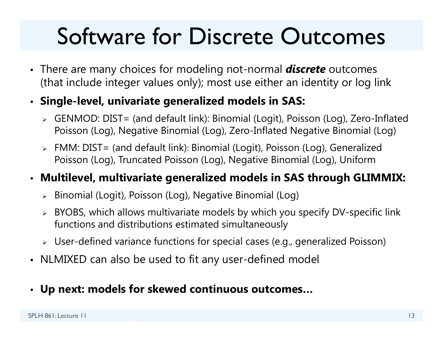## Software for Discrete Outcomes

- There are many choices for modeling not-normal *discrete* outcomes (that include integer values only); most use either an identity or log link
- **Single-level, univariate generalized models in SAS:**
	- GENMOD: DIST= (and default link): Binomial (Logit), Poisson (Log), Zero-Inflated Poisson (Log), Negative Binomial (Log), Zero-Inflated Negative Binomial (Log)
	- FMM: DIST= (and default link): Binomial (Logit), Poisson (Log), Generalized Poisson (Log), Truncated Poisson (Log), Negative Binomial (Log), Uniform

#### • **Multilevel, multivariate generalized models in SAS through GLIMMIX:**

- Binomial (Logit), Poisson (Log), Negative Binomial (Log)
- BYOBS, which allows multivariate models by which you specify DV-specific link functions and distributions estimated simultaneously
- User-defined variance functions for special cases (e.g., generalized Poisson)
- NLMIXED can also be used to fit any user-defined model
- **Up next: models for skewed continuous outcomes…**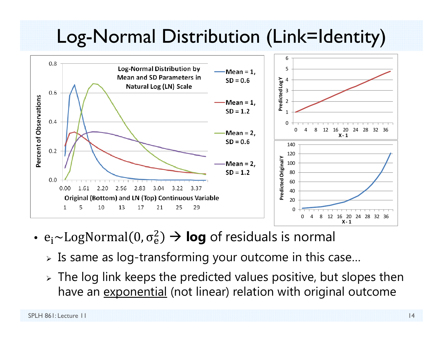### Log-Normal Distribution (Link=Identity)



- $\bullet$  e $\rm _i$ ~LogNormal(0,  $\rm \sigma_e^2$  $\binom{2}{e}$   $\rightarrow$  **log** of residuals is normal
	- $\triangleright$  Is same as log-transforming your outcome in this case…
	- $\triangleright$  The log link keeps the predicted values positive, but slopes then have an <u>exponential</u> (not linear) relation with original outcome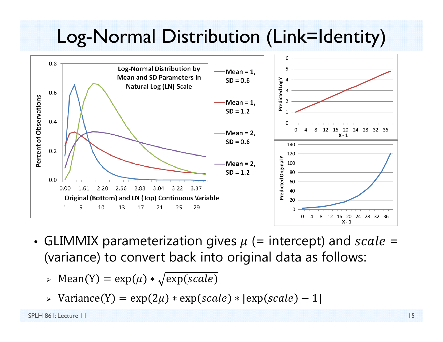### Log-Normal Distribution (Link=Identity)



- GLIMMIX parameterization gives  $\mu$  (= intercept) and  $scale=$ (variance) to convert back into original data as follows:
	- $\triangleright$  Mean(Y) = exp( $\mu$ ) \*  $\sqrt{\exp(scale)}$
	- $\triangleright$  Variance(Y) = exp(2 $\mu$ )  $\ast$  exp(scale)  $\ast$  [exp(scale)  $-$  1]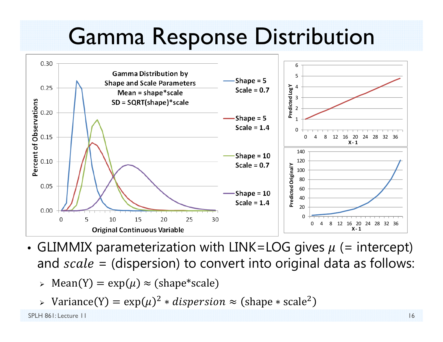## Gamma Response Distribution



- GLIMMIX parameterization with LINK=LOG gives  $\mu$  (= intercept) and  $scale = (dispersion)$  to convert into original data as follows:
	- $\triangleright$  Mean(Y) = exp( $\mu) \approx$  (shape\*scale)
	- $\triangleright$  Variance(Y) = exp( $\mu$ )<sup>2</sup>  $\ast$  *dispersion*  $\approx$  (shape  $\ast$  scale<sup>2</sup>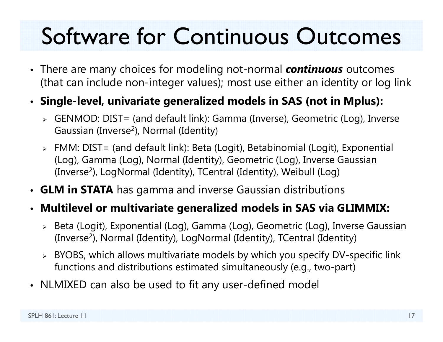## Software for Continuous Outcomes

• There are many choices for modeling not-normal *continuous* outcomes (that can include non-integer values); most use either an identity or log link

#### • **Single-level, univariate generalized models in SAS (not in Mplus):**

- GENMOD: DIST= (and default link): Gamma (Inverse), Geometric (Log), Inverse Gaussian (Inverse 2), Normal (Identity)
- FMM: DIST= (and default link): Beta (Logit), Betabinomial (Logit), Exponential (Log), Gamma (Log), Normal (Identity), Geometric (Log), Inverse Gaussian (Inverse 2), LogNormal (Identity), TCentral (Identity), Weibull (Log)
- **GLM in STATA** has gamma and inverse Gaussian distributions

#### • **Multilevel or multivariate generalized models in SAS via GLIMMIX:**

- Beta (Logit), Exponential (Log), Gamma (Log), Geometric (Log), Inverse Gaussian (Inverse 2), Normal (Identity), LogNormal (Identity), TCentral (Identity)
- BYOBS, which allows multivariate models by which you specify DV-specific link functions and distributions estimated simultaneously (e.g., two-part)
- NLMIXED can also be used to fit any user-defined model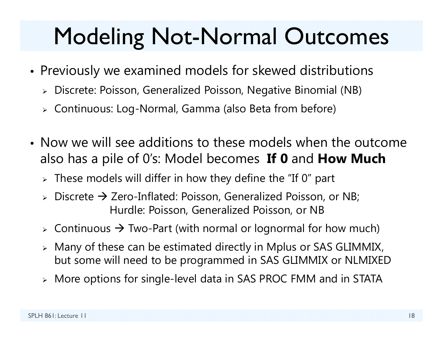## Modeling Not-Normal Outcomes

- • Previously we examined models for skewed distributions
	- Discrete: Poisson, Generalized Poisson, Negative Binomial (NB)
	- Continuous: Log-Normal, Gamma (also Beta from before)
- Now we will see additions to these models when the outcome also has a pile of 0's: Model becomes **If 0** and **How Much**
	- $\triangleright$  These models will differ in how they define the "If 0" part
	- $\triangleright$  Discrete  $\rightarrow$  Zero-Inflated: Poisson, Generalized Poisson, or NB; Hurdle: Poisson, Generalized Poisson, or NB
	- $\triangleright$  Continuous  $\rightarrow$  Two-Part (with normal or lognormal for how much)
	- Many of these can be estimated directly in Mplus or SAS GLIMMIX, but some will need to be programmed in SAS GLIMMIX or NLMIXED
	- More options for single-level data in SAS PROC FMM and in STATA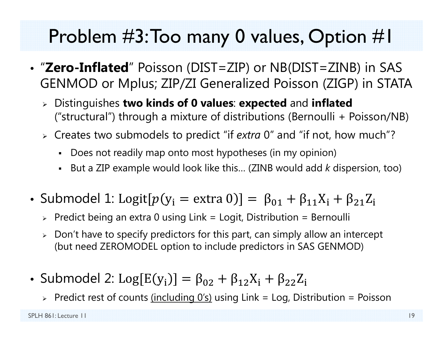### Problem #3: Too many 0 values, Option #1

- "**Zero-Inflated**" Poisson (DIST=ZIP) or NB(DIST=ZINB) in SAS GENMOD or Mplus; ZIP/ZI Generalized Poisson (ZIGP) in STATA
	- Distinguishes **two kinds of 0 values**: **expected** and **inflated** ("structural") through a mixture of distributions (Bernoulli + Poisson/NB)
	- Creates two submodels to predict "if *extra* 0" and "if not, how much"?
		- Does not readily map onto most hypotheses (in my opinion)
		- But a ZIP example would look like this… (ZINB would add *k* dispersion, too)
- Submodel 1: Logit[ $p(y_i = \text{extra } 0)$ ] =  $\beta_{01} + \beta_{11}X_i + \beta_{21}Z_i$ 
	- $\triangleright$  Predict being an extra 0 using Link = Logit, Distribution = Bernoulli
	- $\triangleright\;$  Don't have to specify predictors for this part, can simply allow an intercept (but need ZEROMODEL option to include predictors in SAS GENMOD)
- $\bullet\,$  Submodel 2:  $\text{Log}[\text{E}(\text{y}_{\text{i}})] = \beta_{02} + \beta_{12}\text{X}_{\text{i}} + \beta_{22}\text{Z}_{\text{i}}$ 
	- > Predict rest of counts <u>(including 0's)</u> using Link = Log, Distribution = Poisson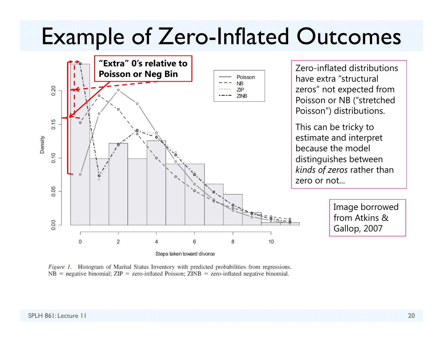## Example of Zero-Inflated Outcomes



*Figure 1.* Histogram of Marital Status Inventory with predicted probabilities from regressions.  $NB$  = negative binomial;  $ZIP$  = zero-inflated Poisson;  $ZINB$  = zero-inflated negative binomial.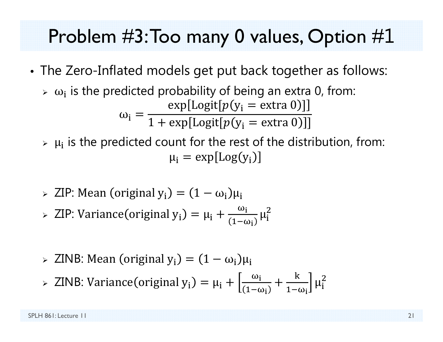### Problem #3: Too many 0 values, Option # 1

- • The Zero-Inflated models get put back together as follows:
	- $\triangleright$   $\omega_i$  is the predicted probability of being an extra 0, from:  $\omega_{\rm i} =$  $\exp[\text{Logit}[p(y_i = \text{extra 0})]$  $1+\exp[\text{Logit}[p(\mathrm{y}_\mathrm{i}=\text{extra 0})]]$
	- $\triangleright$   $\mu_i$  is the predicted count for the rest of the distribution, from:  $\mu_{\rm i} = \exp[\text{Log}( \mathrm{y}_{\rm i})]$
	- $\triangleright$  ZIP: Mean (original y<sub>i</sub>) =  $(1 \omega_i)\mu_i$
	- $\triangleright$  ZIP: Variance (original  $y_i$ ) =  $\mu_i + \frac{\omega_i}{\sqrt{1-\omega_i}}$  $1-\omega_{\rm i}$  $\mu_{\tilde{\text{i}}}$  $\overline{2}$
	- $>$  ZINB: Mean (original  $y_i$ ) =  $(1 \omega_i)\mu_i$
	- > ZINB: Variance (original y<sub>i</sub>) = μ<sub>i</sub> +  $\frac{\omega_i}{\sqrt{1-\omega_i}}$  $1-\omega_{\rm i}$ ╅  $\bf k$  $1-\omega_{\rm i}$  $\mu_{\rm i}$  $\overline{2}$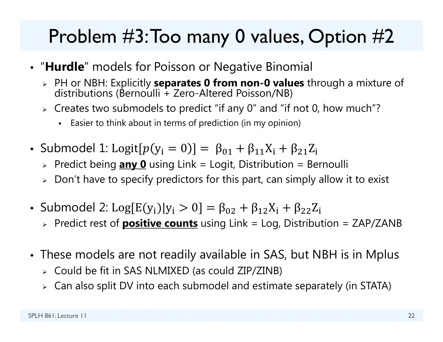### Problem #3: Too many 0 values, Option #2

- "**Hurdle**" models for Poisson or Negative Binomial
	- PH or NBH: Explicitly **separates 0 from non-0 values** through a mixture of distributions (Bernoulli + Zero-Altered Poisson/NB)
	- $\triangleright$  Creates two submodels to predict "if any 0" and "if not 0, how much"?
		- Easier to think about in terms of prediction (in my opinion)
- Submodel 1: Logit[ $p(y_i = 0)$ ] =  $\beta_{01} + \beta_{11}X_i + \beta_{21}Z_i$ 
	- Predict being **any 0** using Link = Logit, Distribution = Bernoulli
	- $\triangleright\;$  Don't have to specify predictors for this part, can simply allow it to exist
- Submodel 2: Log $\text{[E(y_i)|y_i > 0]} = \beta_{02} + \beta_{12}X_i + \beta_{22}Z_i$ 
	- Predict rest of **positive counts** using Link = Log, Distribution = ZAP/ZANB
- These models are not readily available in SAS, but NBH is in Mplus
	- Could be fit in SAS NLMIXED (as could ZIP/ZINB)
	- $\triangleright$   $\,$  Can also split DV into each submodel and estimate separately (in STATA)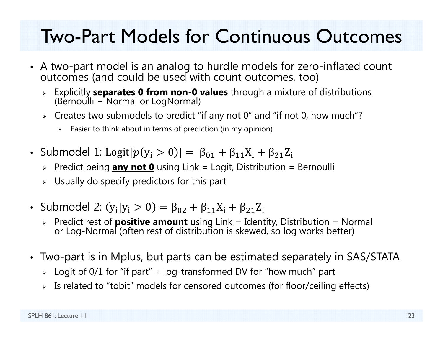### Two-Part Models for Continuous Outcomes

- A two-part model is an analog to hurdle models for zero-inflated count<br>outcomes (and could be used with count outcomes, too)
	- Explicitly **separates 0 from non-0 values** through a mixture of distributions (Bernoulli + Normal or LogNormal)
	- $\triangleright$  Creates two submodels to predict "if any not 0" and "if not 0, how much"?
		- Easier to think about in terms of prediction (in my opinion)
- Submodel 1: Logit[ $p(\mathrm{y_i} > 0)$ ] =  $\upbeta_{01} + \upbeta_{11} \mathrm{X_i} + \upbeta_{21} \mathrm{Z_i}$ 
	- Predict being **any not 0** using Link = Logit, Distribution = Bernoulli
	- $\triangleright$  Usually do specify predictors for this part
- Submodel 2:  $(y_i|y_i > 0) = \beta_{02} + \beta_{11}X_i + \beta_{21}Z_i$ 
	- Predict rest of **positive amount** using Link = Identity, Distribution = Normal or Log-Normal (often rest of distribution is skewed, so log works better)
- Two-part is in Mplus, but parts can be estimated separately in SAS/STATA
	- Logit of 0/1 for "if part" + log-transformed DV for "how much" part
	- Is related to "tobit" models for censored outcomes (for floor/ceiling effects)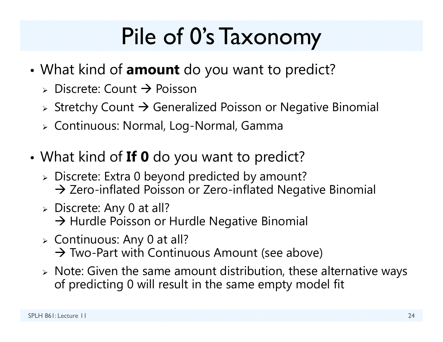# Pile of 0's Taxonomy

- What kind of **amount** do you want to predict?
	- $\triangleright$  Discrete: Count  $\rightarrow$  Poisson
	- $\triangleright$  Stretchy Count  $\rightarrow$  Generalized Poisson or Negative Binomial
	- Continuous: Normal, Log-Normal, Gamma
- What kind of **If 0** do you want to predict?
	- Discrete: Extra 0 beyond predicted by amount?  $\rightarrow$  Zero-inflated Poisson or Zero-inflated Negative Binomial
	- Discrete: Any 0 at all?  $\rightarrow$  Hurdle Poisson or Hurdle Negative Binomial
	- $\triangleright$  Continuous: Any 0 at all?  $\rightarrow$  Two-Part with Continuous Amount (see above)
	- Note: Given the same amount distribution, these alternative ways of predicting 0 will result in the same empty model fit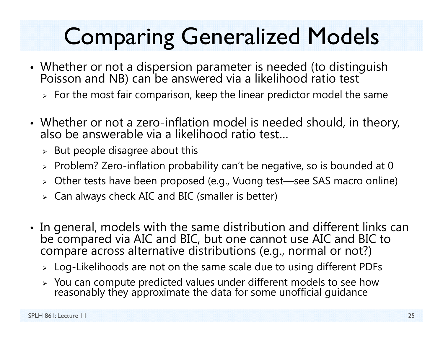## Comparing Generalized Models

- Whether or not a dispersion parameter is needed (to distinguish Poisson and NB) can be answered via a likelihood ratio test
	- $\triangleright\;$  For the most fair comparison, keep the linear predictor model the same
- Whether or not a zero-inflation model is needed should, in theory, also be answerable via a likelihood ratio test…
	- $\triangleright$  But people disagree about this
	- $\triangleright$  Problem? Zero-inflation probability can't be negative, so is bounded at 0
	- Other tests have been proposed (e.g., Vuong test—see SAS macro online)
	- $\triangleright$   $\,$  Can always check AIC and BIC (smaller is better)
- In general, models with the same distribution and different links can be compared via AIC and BIC, but one cannot use AIC and BIC to compare across alternative distributions (e.g., normal or not?)
	- $\triangleright\;$  Log-Likelihoods are not on the same scale due to using different PDFs
	- > You can compute predicted values under different models to see how reasonably they approximate the data for some unofficial guidance